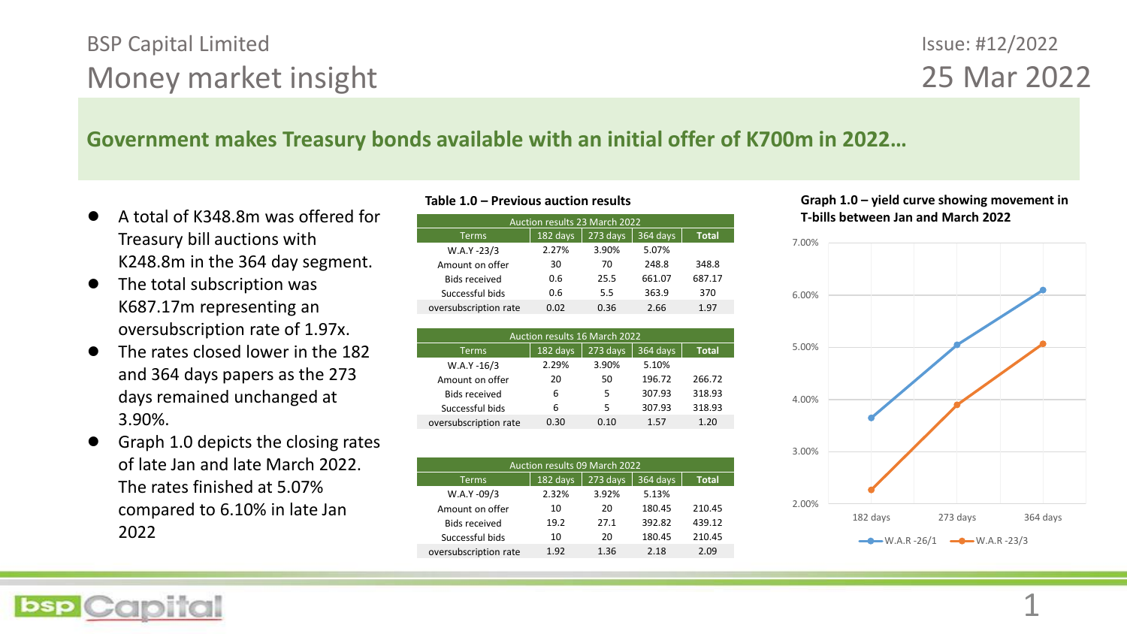# BSP Capital Limited Money market insight

# Issue: #12/2022 25 Mar 2022

## **Government makes Treasury bonds available with an initial offer of K700m in 2022…**

- A total of K348.8m was offered for Treasury bill auctions with K248.8m in the 364 day segment.
- The total subscription was K687.17m representing an oversubscription rate of 1.97x.
- The rates closed lower in the 182 and 364 days papers as the 273 days remained unchanged at 3.90%.
- Graph 1.0 depicts the closing rates of late Jan and late March 2022. The rates finished at 5.07% compared to 6.10% in late Jan 2022

|                 | <b>Auction results 23 March 2022</b> |          |          |          |              |  |  |  |  |  |  |  |
|-----------------|--------------------------------------|----------|----------|----------|--------------|--|--|--|--|--|--|--|
|                 | <b>Terms</b>                         | 182 days | 273 days | 364 days | <b>Total</b> |  |  |  |  |  |  |  |
|                 | $W.A.Y - 23/3$                       | 2.27%    | 3.90%    | 5.07%    |              |  |  |  |  |  |  |  |
| Amount on offer |                                      | 30       | 70       | 248.8    | 348.8        |  |  |  |  |  |  |  |
|                 | <b>Bids received</b>                 | 0.6      | 25.5     | 661.07   | 687.17       |  |  |  |  |  |  |  |
|                 | Successful bids                      | 0.6      | 5.5      | 363.9    | 370          |  |  |  |  |  |  |  |
|                 | oversubscription rate                | 0.02     | 0.36     | 2.66     | 1.97         |  |  |  |  |  |  |  |
|                 |                                      |          |          |          |              |  |  |  |  |  |  |  |

| <b>Auction results 16 March 2022</b> |          |          |          |              |  |  |  |  |  |  |
|--------------------------------------|----------|----------|----------|--------------|--|--|--|--|--|--|
| <b>Terms</b>                         | 182 days | 273 days | 364 days | <b>Total</b> |  |  |  |  |  |  |
| $W.A.Y - 16/3$                       | 2.29%    | 3.90%    | 5.10%    |              |  |  |  |  |  |  |
| Amount on offer                      | 20       | 50       | 196.72   | 266.72       |  |  |  |  |  |  |
| <b>Bids received</b>                 | 6        | 5        | 307.93   | 318.93       |  |  |  |  |  |  |
| Successful bids                      | 6        | 5        | 307.93   | 318.93       |  |  |  |  |  |  |
| oversubscription rate                | 0.30     | 0.10     | 1.57     | 1.20         |  |  |  |  |  |  |

| <b>Auction results 09 March 2022</b> |          |          |              |  |  |  |  |  |  |  |
|--------------------------------------|----------|----------|--------------|--|--|--|--|--|--|--|
| 182 days                             | 273 days | 364 days | <b>Total</b> |  |  |  |  |  |  |  |
| 2.32%                                | 3.92%    | 5.13%    |              |  |  |  |  |  |  |  |
| 10                                   | 20       | 180.45   | 210.45       |  |  |  |  |  |  |  |
| 19.2                                 | 27.1     | 392.82   | 439.12       |  |  |  |  |  |  |  |
| 10                                   | 20       | 180.45   | 210.45       |  |  |  |  |  |  |  |
| 1.92                                 | 1.36     | 2.18     | 2.09         |  |  |  |  |  |  |  |
|                                      |          |          |              |  |  |  |  |  |  |  |

### **Table 1.0 – Previous auction results Graph 1.0 – yield curve showing movement in**  Auction results 23 March 2022 **T-bills between Jan and March 2022**

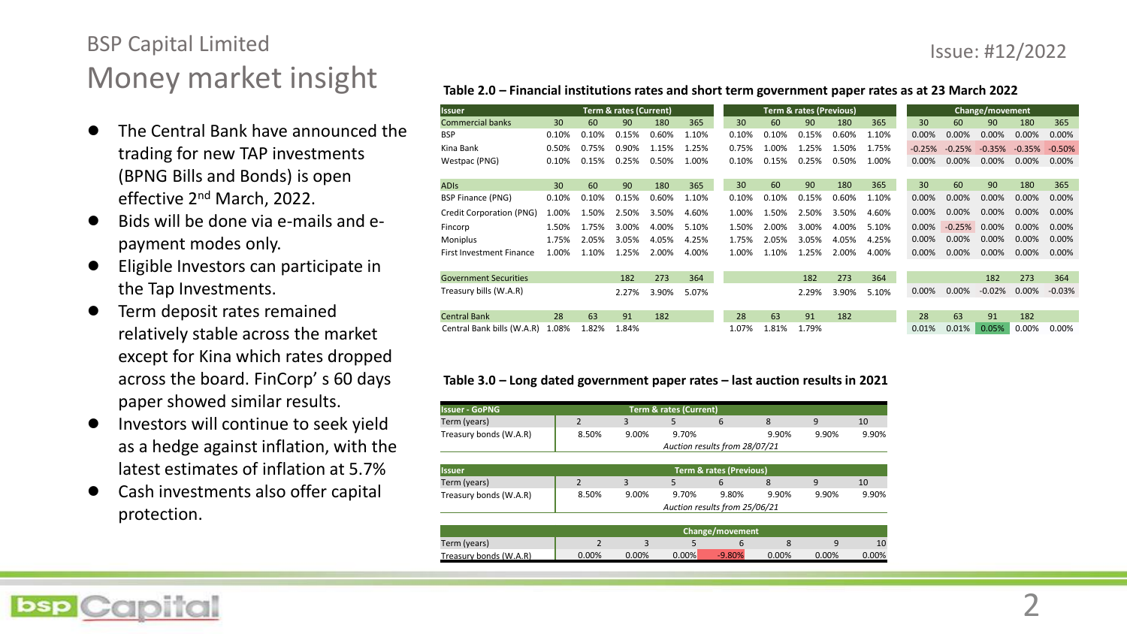### Issue: #12/2022

# BSP Capital Limited Money market insight

- The Central Bank have announced the trading for new TAP investments (BPNG Bills and Bonds) is open effective 2<sup>nd</sup> March, 2022.
- Bids will be done via e-mails and epayment modes only.
- Eligible Investors can participate in the Tap Investments.
- Term deposit rates remained relatively stable across the market except for Kina which rates dropped across the board. FinCorp' s 60 days paper showed similar results.
- Investors will continue to seek yield as a hedge against inflation, with the latest estimates of inflation at 5.7%
- Cash investments also offer capital protection.

| Table 2.0 - Financial institutions rates and short term government paper rates as at 23 March 2022 |  |                                                                                                                                                                                                                                |                                                                                                                                                                                                                                      |  |  |  |  |  |
|----------------------------------------------------------------------------------------------------|--|--------------------------------------------------------------------------------------------------------------------------------------------------------------------------------------------------------------------------------|--------------------------------------------------------------------------------------------------------------------------------------------------------------------------------------------------------------------------------------|--|--|--|--|--|
| .                                                                                                  |  | the second contract the contract of the second contract of the second contract of the second contract of the second contract of the second contract of the second contract of the second contract of the second contract of th | <b>Contract Contract Contract Contract Contract Contract Contract Contract Contract Contract Contract Contract Contract Contract Contract Contract Contract Contract Contract Contract Contract Contract Contract Contract Contr</b> |  |  |  |  |  |

| <b>Issuer</b>                   |       | <b>Term &amp; rates (Current)</b> |       |       |       |       | <b>Term &amp; rates (Previous)</b> |       |       |       |       | Change/movement |          |          |          |          |
|---------------------------------|-------|-----------------------------------|-------|-------|-------|-------|------------------------------------|-------|-------|-------|-------|-----------------|----------|----------|----------|----------|
| <b>Commercial banks</b>         | 30    | 60                                | 90    | 180   | 365   | 30    |                                    | 60    | 90    | 180   | 365   | 30              | 60       | 90       | 180      | 365      |
| <b>BSP</b>                      | 0.10% | 0.10%                             | 0.15% | 0.60% | 1.10% | 0.10% |                                    | 0.10% | 0.15% | 0.60% | 1.10% | $0.00\%$        | $0.00\%$ | 0.00%    | $0.00\%$ | $0.00\%$ |
| Kina Bank                       | 0.50% | 0.75%                             | 0.90% | 1.15% | 1.25% | 0.75% |                                    | 1.00% | 1.25% | 1.50% | 1.75% | $-0.25%$        | $-0.25%$ | $-0.35%$ | $-0.35%$ | $-0.50%$ |
| Westpac (PNG)                   | 0.10% | 0.15%                             | 0.25% | 0.50% | 1.00% | 0.10% |                                    | 0.15% | 0.25% | 0.50% | 1.00% | $0.00\%$        | 0.00%    | $0.00\%$ | 0.00%    | 0.00%    |
|                                 |       |                                   |       |       |       |       |                                    |       |       |       |       |                 |          |          |          |          |
| <b>ADIS</b>                     | 30    | 60                                | 90    | 180   | 365   | 30    |                                    | 60    | 90    | 180   | 365   | 30              | 60       | 90       | 180      | 365      |
| <b>BSP Finance (PNG)</b>        | 0.10% | 0.10%                             | 0.15% | 0.60% | 1.10% | 0.10% |                                    | 0.10% | 0.15% | 0.60% | 1.10% | 0.00%           | 0.00%    | 0.00%    | 0.00%    | 0.00%    |
| Credit Corporation (PNG)        | 1.00% | 1.50%                             | 2.50% | 3.50% | 4.60% | 1.00% |                                    | 1.50% | 2.50% | 3.50% | 4.60% | $0.00\%$        | 0.00%    | 0.00%    | $0.00\%$ | 0.00%    |
| Fincorp                         | 1.50% | 1.75%                             | 3.00% | 4.00% | 5.10% | 1.50% |                                    | 2.00% | 3.00% | 4.00% | 5.10% | 0.00%           | $-0.25%$ | $0.00\%$ | 0.00%    | 0.00%    |
| Moniplus                        | 1.75% | 2.05%                             | 3.05% | 4.05% | 4.25% | 1.75% |                                    | 2.05% | 3.05% | 4.05% | 4.25% | $0.00\%$        | $0.00\%$ | $0.00\%$ | 0.00%    | 0.00%    |
| <b>First Investment Finance</b> | 1.00% | 1.10%                             | 1.25% | 2.00% | 4.00% | 1.00% |                                    | 1.10% | 1.25% | 2.00% | 4.00% | 0.00%           | $0.00\%$ | 0.00%    | 0.00%    | 0.00%    |
|                                 |       |                                   |       |       |       |       |                                    |       |       |       |       |                 |          |          |          |          |
| <b>Government Securities</b>    |       |                                   | 182   | 273   | 364   |       |                                    |       | 182   | 273   | 364   |                 |          | 182      | 273      | 364      |
| Treasury bills (W.A.R)          |       |                                   | 2.27% | 3.90% | 5.07% |       |                                    |       | 2.29% | 3.90% | 5.10% | $0.00\%$        | $0.00\%$ | $-0.02%$ | $0.00\%$ | $-0.03%$ |
|                                 |       |                                   |       |       |       |       |                                    |       |       |       |       |                 |          |          |          |          |
| <b>Central Bank</b>             | 28    | 63                                | 91    | 182   |       | 28    |                                    | 63    | 91    | 182   |       | 28              | 63       | 91       | 182      |          |
| Central Bank bills (W.A.R)      | 1.08% | 1.82%                             | 1.84% |       |       | 1.07% |                                    | 1.81% | 1.79% |       |       | 0.01%           | 0.01%    | 0.05%    | 0.00%    | 0.00%    |

#### **Table 3.0 – Long dated government paper rates – last auction results in 2021**

| <b>Term &amp; rates (Current)</b><br><b>Issuer - GoPNG</b> |                 |          |                               |                               |       |          |       |  |  |  |  |
|------------------------------------------------------------|-----------------|----------|-------------------------------|-------------------------------|-------|----------|-------|--|--|--|--|
| Term (years)                                               | $\mathfrak{p}$  | 3        | 5.                            | 6                             | 8     | 9        | 10    |  |  |  |  |
| Treasury bonds (W.A.R)                                     | 8.50%           | 9.00%    | 9.70%                         |                               | 9.90% | 9.90%    | 9.90% |  |  |  |  |
|                                                            |                 |          | Auction results from 28/07/21 |                               |       |          |       |  |  |  |  |
|                                                            |                 |          |                               |                               |       |          |       |  |  |  |  |
| <b>Term &amp; rates (Previous)</b><br><b>Issuer</b>        |                 |          |                               |                               |       |          |       |  |  |  |  |
| Term (years)                                               | $\mathfrak{p}$  | 3        | 5                             | 6                             | 8     | 9        | 10    |  |  |  |  |
| Treasury bonds (W.A.R)                                     | 8.50%           | 9.00%    | 9.70%                         | 9.80%                         | 9.90% | 9.90%    | 9.90% |  |  |  |  |
|                                                            |                 |          |                               | Auction results from 25/06/21 |       |          |       |  |  |  |  |
|                                                            |                 |          |                               |                               |       |          |       |  |  |  |  |
|                                                            | Change/movement |          |                               |                               |       |          |       |  |  |  |  |
| Term (years)                                               | $\mathfrak{p}$  | 3        | 5                             | 6                             | 8     | 9        | 10    |  |  |  |  |
| Treasury bonds (W.A.R)                                     | 0.00%           | $0.00\%$ | 0.00%                         | $-9.80%$                      | 0.00% | $0.00\%$ | 0.00% |  |  |  |  |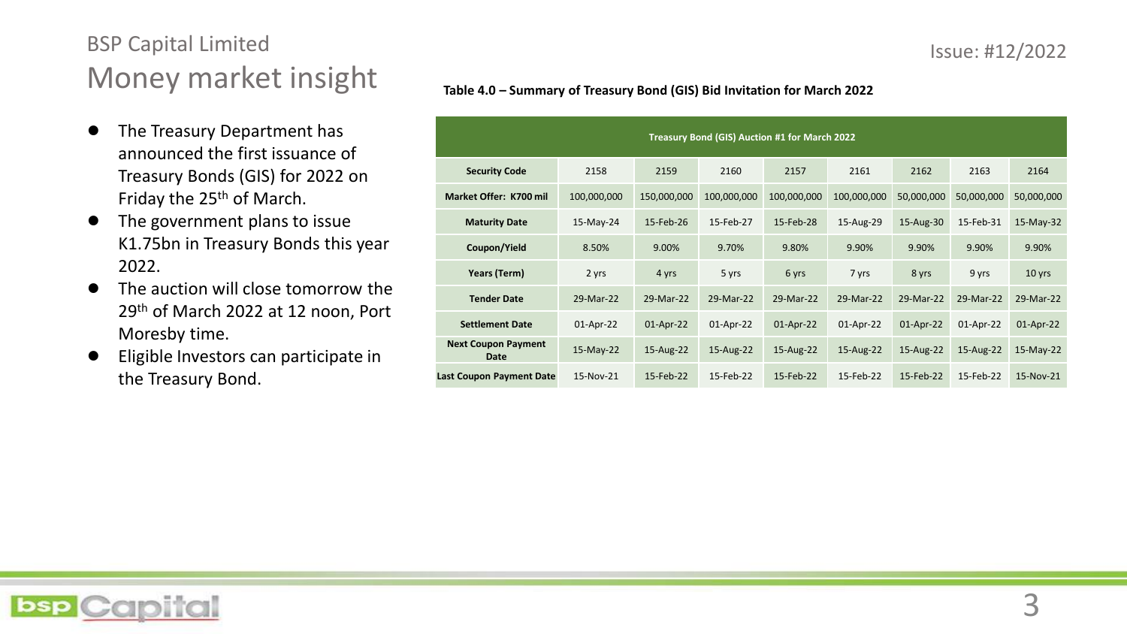# BSP Capital Limited Money market insight

- The Treasury Department has announced the first issuance of Treasury Bonds (GIS) for 2022 on Friday the 25<sup>th</sup> of March.
- The government plans to issue K1.75bn in Treasury Bonds this year 2022.
- The auction will close tomorrow the 29th of March 2022 at 12 noon, Port Moresby time.
- Eligible Investors can participate in the Treasury Bond.

| Treasury Bond (GIS) Auction #1 for March 2022 |                                    |             |             |             |             |             |            |            |            |  |  |
|-----------------------------------------------|------------------------------------|-------------|-------------|-------------|-------------|-------------|------------|------------|------------|--|--|
|                                               | <b>Security Code</b>               | 2158        | 2159        | 2160        | 2157        | 2161        | 2162       | 2163       | 2164       |  |  |
|                                               | Market Offer: K700 mil             | 100,000,000 | 150,000,000 | 100,000,000 | 100,000,000 | 100,000,000 | 50,000,000 | 50,000,000 | 50,000,000 |  |  |
|                                               | <b>Maturity Date</b>               | 15-May-24   | 15-Feb-26   | 15-Feb-27   | 15-Feb-28   | 15-Aug-29   | 15-Aug-30  | 15-Feb-31  | 15-May-32  |  |  |
|                                               | Coupon/Yield                       | 8.50%       | 9.00%       | 9.70%       | 9.80%       | 9.90%       | 9.90%      | 9.90%      | 9.90%      |  |  |
|                                               | Years (Term)                       | 2 yrs       | 4 yrs       | 5 yrs       | 6 yrs       | 7 yrs       | 8 yrs      | 9 yrs      | 10 yrs     |  |  |
|                                               | <b>Tender Date</b>                 | 29-Mar-22   | 29-Mar-22   | 29-Mar-22   | 29-Mar-22   | 29-Mar-22   | 29-Mar-22  | 29-Mar-22  | 29-Mar-22  |  |  |
|                                               | <b>Settlement Date</b>             | 01-Apr-22   | 01-Apr-22   | 01-Apr-22   | 01-Apr-22   | 01-Apr-22   | 01-Apr-22  | 01-Apr-22  | 01-Apr-22  |  |  |
|                                               | <b>Next Coupon Payment</b><br>Date | $15-May-22$ | 15-Aug-22   | 15-Aug-22   | 15-Aug-22   | 15-Aug-22   | 15-Aug-22  | 15-Aug-22  | 15-May-22  |  |  |
|                                               |                                    |             |             |             |             |             |            |            |            |  |  |

**Last Coupon Payment Date** 15-Nov-21 15-Feb-22 15-Feb-22 15-Feb-22 15-Feb-22 15-Feb-22 15-Feb-22 15-Nov-21

### **Table 4.0 – Summary of Treasury Bond (GIS) Bid Invitation for March 2022**